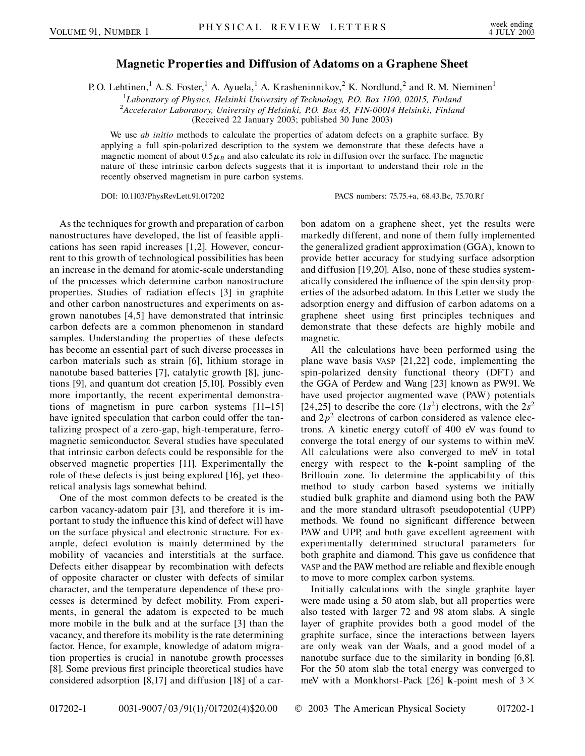## **Magnetic Properties and Diffusion of Adatoms on a Graphene Sheet**

P. O. Lehtinen,<sup>1</sup> A. S. Foster,<sup>1</sup> A. Ayuela,<sup>1</sup> A. Krasheninnikov,<sup>2</sup> K. Nordlund,<sup>2</sup> and R. M. Nieminen<sup>1</sup>

<sup>1</sup>Laboratory of Physics, Helsinki University of Technology, P.O. Box 1100, 02015, Finland<br><sup>2</sup>Accelerator Laboratory, University of Helsinki, P.O. Box 43, F.IN 00014 Helsinki, Finland

*Accelerator Laboratory, University of Helsinki, P.O. Box 43, FIN-00014 Helsinki, Finland*

(Received 22 January 2003; published 30 June 2003)

We use *ab initio* methods to calculate the properties of adatom defects on a graphite surface. By applying a full spin-polarized description to the system we demonstrate that these defects have a magnetic moment of about  $0.5\mu$ <sub>B</sub> and also calculate its role in diffusion over the surface. The magnetic nature of these intrinsic carbon defects suggests that it is important to understand their role in the recently observed magnetism in pure carbon systems.

DOI: 10.1103/PhysRevLett.91.017202 PACS numbers: 75.75.+a, 68.43.Bc, 75.70.Rf

As the techniques for growth and preparation of carbon nanostructures have developed, the list of feasible applications has seen rapid increases [1,2]. However, concurrent to this growth of technological possibilities has been an increase in the demand for atomic-scale understanding of the processes which determine carbon nanostructure properties. Studies of radiation effects [3] in graphite and other carbon nanostructures and experiments on asgrown nanotubes [4,5] have demonstrated that intrinsic carbon defects are a common phenomenon in standard samples. Understanding the properties of these defects has become an essential part of such diverse processes in carbon materials such as strain [6], lithium storage in nanotube based batteries [7], catalytic growth [8], junctions [9], and quantum dot creation [5,10]. Possibly even more importantly, the recent experimental demonstrations of magnetism in pure carbon systems [11–15] have ignited speculation that carbon could offer the tantalizing prospect of a zero-gap, high-temperature, ferromagnetic semiconductor. Several studies have speculated that intrinsic carbon defects could be responsible for the observed magnetic properties [11]. Experimentally the role of these defects is just being explored [16], yet theoretical analysis lags somewhat behind.

One of the most common defects to be created is the carbon vacancy-adatom pair [3], and therefore it is important to study the influence this kind of defect will have on the surface physical and electronic structure. For example, defect evolution is mainly determined by the mobility of vacancies and interstitials at the surface. Defects either disappear by recombination with defects of opposite character or cluster with defects of similar character, and the temperature dependence of these processes is determined by defect mobility. From experiments, in general the adatom is expected to be much more mobile in the bulk and at the surface [3] than the vacancy, and therefore its mobility is the rate determining factor. Hence, for example, knowledge of adatom migration properties is crucial in nanotube growth processes [8]. Some previous first principle theoretical studies have considered adsorption [8,17] and diffusion [18] of a carbon adatom on a graphene sheet, yet the results were markedly different, and none of them fully implemented the generalized gradient approximation (GGA), known to provide better accuracy for studying surface adsorption and diffusion [19,20]. Also, none of these studies systematically considered the influence of the spin density properties of the adsorbed adatom. In this Letter we study the adsorption energy and diffusion of carbon adatoms on a graphene sheet using first principles techniques and demonstrate that these defects are highly mobile and magnetic.

All the calculations have been performed using the plane wave basis VASP [21,22] code, implementing the spin-polarized density functional theory (DFT) and the GGA of Perdew and Wang [23] known as PW91. We have used projector augmented wave (PAW) potentials [24,25] to describe the core  $(1s^2)$  electrons, with the  $2s^2$ and  $2p<sup>2</sup>$  electrons of carbon considered as valence electrons. A kinetic energy cutoff of 400 eV was found to converge the total energy of our systems to within meV. All calculations were also converged to meV in total energy with respect to the **k**-point sampling of the Brillouin zone. To determine the applicability of this method to study carbon based systems we initially studied bulk graphite and diamond using both the PAW and the more standard ultrasoft pseudopotential (UPP) methods. We found no significant difference between PAW and UPP, and both gave excellent agreement with experimentally determined structural parameters for both graphite and diamond. This gave us confidence that VASP and the PAW method are reliable and flexible enough to move to more complex carbon systems.

Initially calculations with the single graphite layer were made using a 50 atom slab, but all properties were also tested with larger 72 and 98 atom slabs. A single layer of graphite provides both a good model of the graphite surface, since the interactions between layers are only weak van der Waals, and a good model of a nanotube surface due to the similarity in bonding [6,8]. For the 50 atom slab the total energy was converged to meV with a Monkhorst-Pack [26] **k**-point mesh of  $3 \times$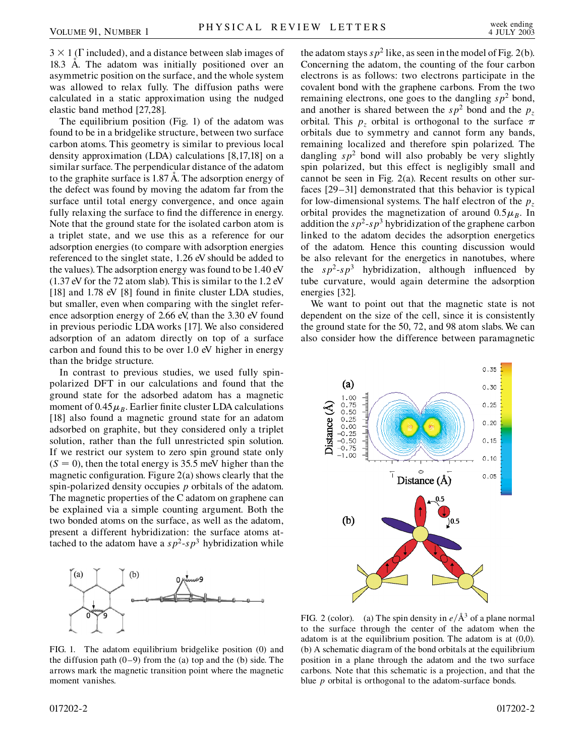$3 \times 1$  ( $\Gamma$  included), and a distance between slab images of 18.3 Å. The adatom was initially positioned over an asymmetric position on the surface, and the whole system was allowed to relax fully. The diffusion paths were calculated in a static approximation using the nudged elastic band method [27,28].

The equilibrium position (Fig. 1) of the adatom was found to be in a bridgelike structure, between two surface carbon atoms. This geometry is similar to previous local density approximation (LDA) calculations [8,17,18] on a similar surface. The perpendicular distance of the adatom to the graphite surface is 1.87 Å. The adsorption energy of the defect was found by moving the adatom far from the surface until total energy convergence, and once again fully relaxing the surface to find the difference in energy. Note that the ground state for the isolated carbon atom is a triplet state, and we use this as a reference for our adsorption energies (to compare with adsorption energies referenced to the singlet state, 1.26 eV should be added to the values). The adsorption energy was found to be 1.40 eV (1.37 eV for the 72 atom slab). This is similar to the 1.2 eV [18] and 1.78 eV [8] found in finite cluster LDA studies, but smaller, even when comparing with the singlet reference adsorption energy of 2.66 eV, than the 3.30 eV found in previous periodic LDA works [17]. We also considered adsorption of an adatom directly on top of a surface carbon and found this to be over 1.0 eV higher in energy than the bridge structure.

In contrast to previous studies, we used fully spinpolarized DFT in our calculations and found that the ground state for the adsorbed adatom has a magnetic moment of  $0.45\mu$ <sub>B</sub>. Earlier finite cluster LDA calculations [18] also found a magnetic ground state for an adatom adsorbed on graphite, but they considered only a triplet solution, rather than the full unrestricted spin solution. If we restrict our system to zero spin ground state only  $(S = 0)$ , then the total energy is 35.5 meV higher than the magnetic configuration. Figure 2(a) shows clearly that the spin-polarized density occupies *p* orbitals of the adatom. The magnetic properties of the C adatom on graphene can be explained via a simple counting argument. Both the two bonded atoms on the surface, as well as the adatom, present a different hybridization: the surface atoms attached to the adatom have a  $s p^2$ - $s p^3$  hybridization while



FIG. 1. The adatom equilibrium bridgelike position (0) and the diffusion path  $(0-9)$  from the (a) top and the (b) side. The arrows mark the magnetic transition point where the magnetic moment vanishes.

the adatom stays  $s p^2$  like, as seen in the model of Fig. 2(b). Concerning the adatom, the counting of the four carbon electrons is as follows: two electrons participate in the covalent bond with the graphene carbons. From the two remaining electrons, one goes to the dangling  $sp^2$  bond, and another is shared between the  $sp^2$  bond and the  $p_z$ orbital. This  $p_z$  orbital is orthogonal to the surface  $\pi$ orbitals due to symmetry and cannot form any bands, remaining localized and therefore spin polarized. The dangling  $sp^2$  bond will also probably be very slightly spin polarized, but this effect is negligibly small and cannot be seen in Fig. 2(a). Recent results on other surfaces [29–31] demonstrated that this behavior is typical for low-dimensional systems. The half electron of the  $p<sub>z</sub>$ orbital provides the magnetization of around  $0.5\mu$ <sub>B</sub>. In addition the  $s p^2$ - $s p^3$  hybridization of the graphene carbon linked to the adatom decides the adsorption energetics of the adatom. Hence this counting discussion would be also relevant for the energetics in nanotubes, where the  $sp^2$ - $sp^3$  hybridization, although influenced by tube curvature, would again determine the adsorption energies [32].

We want to point out that the magnetic state is not dependent on the size of the cell, since it is consistently the ground state for the 50, 72, and 98 atom slabs. We can also consider how the difference between paramagnetic



FIG. 2 (color). (a) The spin density in  $e/\text{\AA}^3$  of a plane normal to the surface through the center of the adatom when the adatom is at the equilibrium position. The adatom is at (0,0). (b) A schematic diagram of the bond orbitals at the equilibrium position in a plane through the adatom and the two surface carbons. Note that this schematic is a projection, and that the blue *p* orbital is orthogonal to the adatom-surface bonds.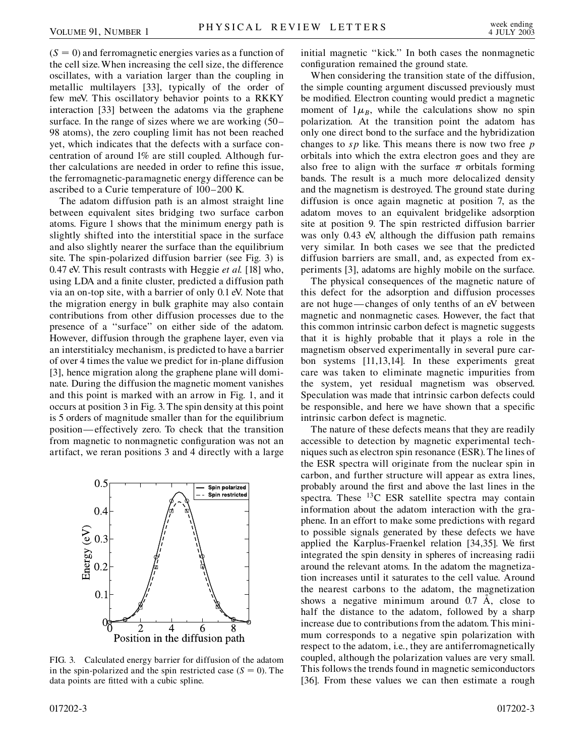$(S = 0)$  and ferromagnetic energies varies as a function of the cell size. When increasing the cell size, the difference oscillates, with a variation larger than the coupling in metallic multilayers [33], typically of the order of few meV. This oscillatory behavior points to a RKKY interaction [33] between the adatoms via the graphene surface. In the range of sizes where we are working (50– 98 atoms), the zero coupling limit has not been reached yet, which indicates that the defects with a surface concentration of around 1% are still coupled. Although further calculations are needed in order to refine this issue, the ferromagnetic-paramagnetic energy difference can be ascribed to a Curie temperature of 100–200 K.

The adatom diffusion path is an almost straight line between equivalent sites bridging two surface carbon atoms. Figure 1 shows that the minimum energy path is slightly shifted into the interstitial space in the surface and also slightly nearer the surface than the equilibrium site. The spin-polarized diffusion barrier (see Fig. 3) is 0.47 eV. This result contrasts with Heggie *et al.* [18] who, using LDA and a finite cluster, predicted a diffusion path via an on-top site, with a barrier of only 0.1 eV. Note that the migration energy in bulk graphite may also contain contributions from other diffusion processes due to the presence of a ''surface'' on either side of the adatom. However, diffusion through the graphene layer, even via an interstitialcy mechanism, is predicted to have a barrier of over 4 times the value we predict for in-plane diffusion [3], hence migration along the graphene plane will dominate. During the diffusion the magnetic moment vanishes and this point is marked with an arrow in Fig. 1, and it occurs at position 3 in Fig. 3. The spin density at this point is 5 orders of magnitude smaller than for the equilibrium position— effectively zero. To check that the transition from magnetic to nonmagnetic configuration was not an artifact, we reran positions 3 and 4 directly with a large



FIG. 3. Calculated energy barrier for diffusion of the adatom in the spin-polarized and the spin restricted case  $(S = 0)$ . The data points are fitted with a cubic spline.

initial magnetic ''kick.'' In both cases the nonmagnetic configuration remained the ground state.

When considering the transition state of the diffusion, the simple counting argument discussed previously must be modified. Electron counting would predict a magnetic moment of  $1\mu$ <sub>B</sub>, while the calculations show no spin polarization. At the transition point the adatom has only one direct bond to the surface and the hybridization changes to *sp* like. This means there is now two free *p* orbitals into which the extra electron goes and they are also free to align with the surface  $\pi$  orbitals forming bands. The result is a much more delocalized density and the magnetism is destroyed. The ground state during diffusion is once again magnetic at position 7, as the adatom moves to an equivalent bridgelike adsorption site at position 9. The spin restricted diffusion barrier was only 0.43 eV, although the diffusion path remains very similar. In both cases we see that the predicted diffusion barriers are small, and, as expected from experiments [3], adatoms are highly mobile on the surface.

The physical consequences of the magnetic nature of this defect for the adsorption and diffusion processes are not huge — changes of only tenths of an eV between magnetic and nonmagnetic cases. However, the fact that this common intrinsic carbon defect is magnetic suggests that it is highly probable that it plays a role in the magnetism observed experimentally in several pure carbon systems [11,13,14]. In these experiments great care was taken to eliminate magnetic impurities from the system, yet residual magnetism was observed. Speculation was made that intrinsic carbon defects could be responsible, and here we have shown that a specific intrinsic carbon defect is magnetic.

The nature of these defects means that they are readily accessible to detection by magnetic experimental techniques such as electron spin resonance (ESR). The lines of the ESR spectra will originate from the nuclear spin in carbon, and further structure will appear as extra lines, probably around the first and above the last lines in the spectra. These  $^{13}$ C ESR satellite spectra may contain information about the adatom interaction with the graphene. In an effort to make some predictions with regard to possible signals generated by these defects we have applied the Karplus-Fraenkel relation [34,35]. We first integrated the spin density in spheres of increasing radii around the relevant atoms. In the adatom the magnetization increases until it saturates to the cell value. Around the nearest carbons to the adatom, the magnetization shows a negative minimum around  $0.7 \text{ Å}$ , close to half the distance to the adatom, followed by a sharp increase due to contributions from the adatom. This minimum corresponds to a negative spin polarization with respect to the adatom, i.e., they are antiferromagnetically coupled, although the polarization values are very small. This follows the trends found in magnetic semiconductors [36]. From these values we can then estimate a rough